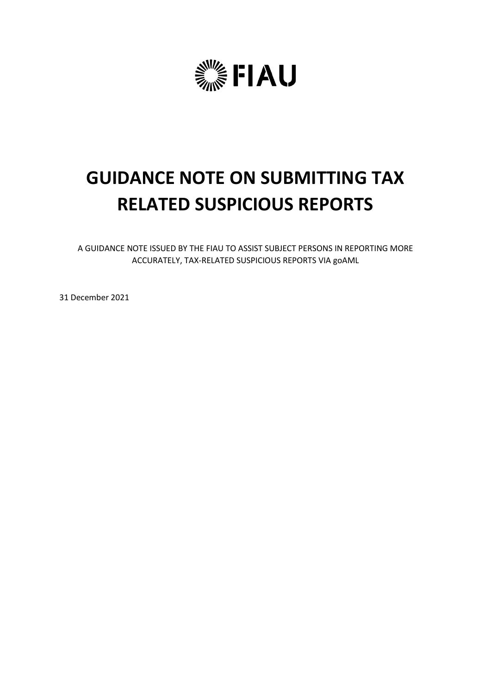

# **GUIDANCE NOTE ON SUBMITTING TAX RELATED SUSPICIOUS REPORTS**

A GUIDANCE NOTE ISSUED BY THE FIAU TO ASSIST SUBJECT PERSONS IN REPORTING MORE ACCURATELY, TAX-RELATED SUSPICIOUS REPORTS VIA goAML

31 December 2021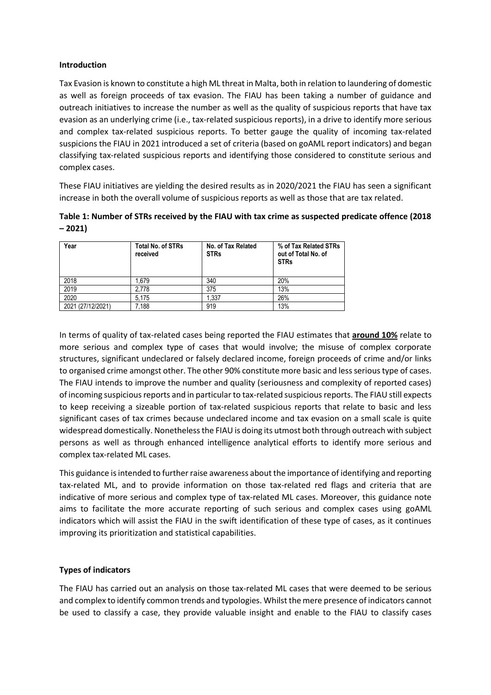#### **Introduction**

Tax Evasion is known to constitute a high ML threat in Malta, both in relation to laundering of domestic as well as foreign proceeds of tax evasion. The FIAU has been taking a number of guidance and outreach initiatives to increase the number as well as the quality of suspicious reports that have tax evasion as an underlying crime (i.e., tax-related suspicious reports), in a drive to identify more serious and complex tax-related suspicious reports. To better gauge the quality of incoming tax-related suspicions the FIAU in 2021 introduced a set of criteria (based on goAML report indicators) and began classifying tax-related suspicious reports and identifying those considered to constitute serious and complex cases.

These FIAU initiatives are yielding the desired results as in 2020/2021 the FIAU has seen a significant increase in both the overall volume of suspicious reports as well as those that are tax related.

**Table 1: Number of STRs received by the FIAU with tax crime as suspected predicate offence (2018 – 2021)**

| Year              | <b>Total No. of STRs</b><br>received | No. of Tax Related<br><b>STRs</b> | % of Tax Related STRs<br>out of Total No. of<br><b>STRs</b> |
|-------------------|--------------------------------------|-----------------------------------|-------------------------------------------------------------|
| 2018              | .679                                 | 340                               | 20%                                                         |
| 2019              | 2.778                                | 375                               | 13%                                                         |
| 2020              | 5.175                                | 1.337                             | 26%                                                         |
| 2021 (27/12/2021) | 7.188                                | 919                               | 13%                                                         |

In terms of quality of tax-related cases being reported the FIAU estimates that **around 10%** relate to more serious and complex type of cases that would involve; the misuse of complex corporate structures, significant undeclared or falsely declared income, foreign proceeds of crime and/or links to organised crime amongst other. The other 90% constitute more basic and less serious type of cases. The FIAU intends to improve the number and quality (seriousness and complexity of reported cases) of incoming suspicious reports and in particular to tax-related suspicious reports. The FIAU still expects to keep receiving a sizeable portion of tax-related suspicious reports that relate to basic and less significant cases of tax crimes because undeclared income and tax evasion on a small scale is quite widespread domestically. Nonetheless the FIAU is doing its utmost both through outreach with subject persons as well as through enhanced intelligence analytical efforts to identify more serious and complex tax-related ML cases.

This guidance is intended to further raise awareness about the importance of identifying and reporting tax-related ML, and to provide information on those tax-related red flags and criteria that are indicative of more serious and complex type of tax-related ML cases. Moreover, this guidance note aims to facilitate the more accurate reporting of such serious and complex cases using goAML indicators which will assist the FIAU in the swift identification of these type of cases, as it continues improving its prioritization and statistical capabilities.

### **Types of indicators**

The FIAU has carried out an analysis on those tax-related ML cases that were deemed to be serious and complex to identify common trends and typologies. Whilst the mere presence of indicators cannot be used to classify a case, they provide valuable insight and enable to the FIAU to classify cases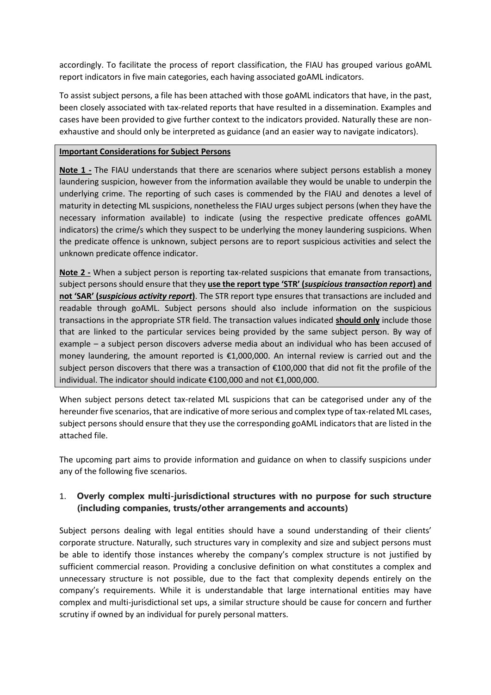accordingly. To facilitate the process of report classification, the FIAU has grouped various goAML report indicators in five main categories, each having associated goAML indicators.

To assist subject persons, a file has been attached with those goAML indicators that have, in the past, been closely associated with tax-related reports that have resulted in a dissemination. Examples and cases have been provided to give further context to the indicators provided. Naturally these are nonexhaustive and should only be interpreted as guidance (and an easier way to navigate indicators).

#### **Important Considerations for Subject Persons**

**Note 1 -** The FIAU understands that there are scenarios where subject persons establish a money laundering suspicion, however from the information available they would be unable to underpin the underlying crime. The reporting of such cases is commended by the FIAU and denotes a level of maturity in detecting ML suspicions, nonetheless the FIAU urges subject persons (when they have the necessary information available) to indicate (using the respective predicate offences goAML indicators) the crime/s which they suspect to be underlying the money laundering suspicions. When the predicate offence is unknown, subject persons are to report suspicious activities and select the unknown predicate offence indicator.

**Note 2 -** When a subject person is reporting tax-related suspicions that emanate from transactions, subject persons should ensure that they **use the report type 'STR' (***suspicious transaction report***) and not 'SAR' (***suspicious activity report***)**. The STR report type ensures that transactions are included and readable through goAML. Subject persons should also include information on the suspicious transactions in the appropriate STR field. The transaction values indicated **should only** include those that are linked to the particular services being provided by the same subject person. By way of example – a subject person discovers adverse media about an individual who has been accused of money laundering, the amount reported is €1,000,000. An internal review is carried out and the subject person discovers that there was a transaction of €100,000 that did not fit the profile of the individual. The indicator should indicate €100,000 and not €1,000,000.

When subject persons detect tax-related ML suspicions that can be categorised under any of the hereunder five scenarios, that are indicative of more serious and complex type of tax-related ML cases, subject persons should ensure that they use the corresponding goAML indicators that are listed in the attached file.

The upcoming part aims to provide information and guidance on when to classify suspicions under any of the following five scenarios.

## 1. **Overly complex multi-jurisdictional structures with no purpose for such structure (including companies, trusts/other arrangements and accounts)**

Subject persons dealing with legal entities should have a sound understanding of their clients' corporate structure. Naturally, such structures vary in complexity and size and subject persons must be able to identify those instances whereby the company's complex structure is not justified by sufficient commercial reason. Providing a conclusive definition on what constitutes a complex and unnecessary structure is not possible, due to the fact that complexity depends entirely on the company's requirements. While it is understandable that large international entities may have complex and multi-jurisdictional set ups, a similar structure should be cause for concern and further scrutiny if owned by an individual for purely personal matters.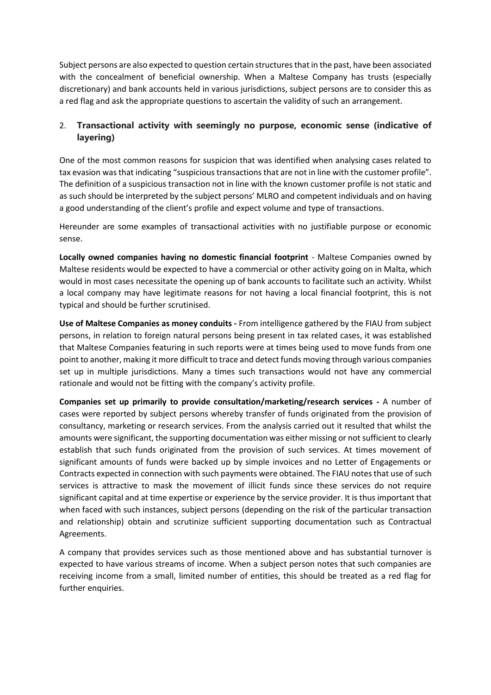Subject persons are also expected to question certain structures that in the past, have been associated with the concealment of beneficial ownership. When a Maltese Company has trusts (especially discretionary) and bank accounts held in various jurisdictions, subject persons are to consider this as a red flag and ask the appropriate questions to ascertain the validity of such an arrangement.

# 2. **Transactional activity with seemingly no purpose, economic sense (indicative of layering)**

One of the most common reasons for suspicion that was identified when analysing cases related to tax evasion was that indicating "suspicious transactions that are not in line with the customer profile". The definition of a suspicious transaction not in line with the known customer profile is not static and as such should be interpreted by the subject persons' MLRO and competent individuals and on having a good understanding of the client's profile and expect volume and type of transactions.

Hereunder are some examples of transactional activities with no justifiable purpose or economic sense.

**Locally owned companies having no domestic financial footprint** - Maltese Companies owned by Maltese residents would be expected to have a commercial or other activity going on in Malta, which would in most cases necessitate the opening up of bank accounts to facilitate such an activity. Whilst a local company may have legitimate reasons for not having a local financial footprint, this is not typical and should be further scrutinised.

**Use of Maltese Companies as money conduits -** From intelligence gathered by the FIAU from subject persons, in relation to foreign natural persons being present in tax related cases, it was established that Maltese Companies featuring in such reports were at times being used to move funds from one point to another, making it more difficult to trace and detect funds moving through various companies set up in multiple jurisdictions. Many a times such transactions would not have any commercial rationale and would not be fitting with the company's activity profile.

**Companies set up primarily to provide consultation/marketing/research services -** A number of cases were reported by subject persons whereby transfer of funds originated from the provision of consultancy, marketing or research services. From the analysis carried out it resulted that whilst the amounts were significant, the supporting documentation was either missing or not sufficient to clearly establish that such funds originated from the provision of such services. At times movement of significant amounts of funds were backed up by simple invoices and no Letter of Engagements or Contracts expected in connection with such payments were obtained. The FIAU notes that use of such services is attractive to mask the movement of illicit funds since these services do not require significant capital and at time expertise or experience by the service provider. It is thus important that when faced with such instances, subject persons (depending on the risk of the particular transaction and relationship) obtain and scrutinize sufficient supporting documentation such as Contractual Agreements.

A company that provides services such as those mentioned above and has substantial turnover is expected to have various streams of income. When a subject person notes that such companies are receiving income from a small, limited number of entities, this should be treated as a red flag for further enquiries.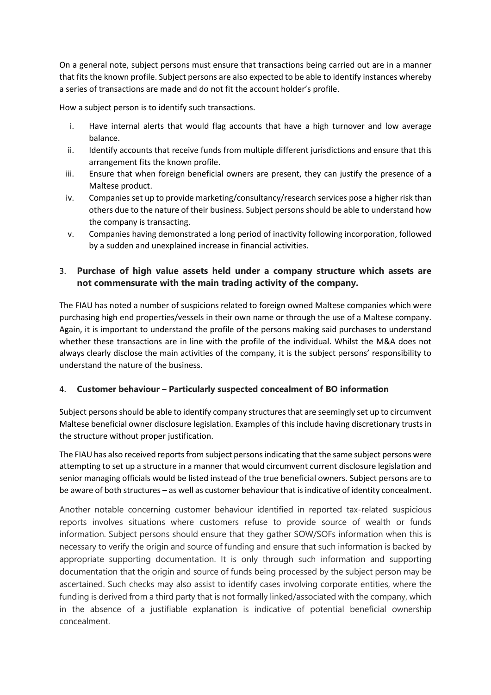On a general note, subject persons must ensure that transactions being carried out are in a manner that fits the known profile. Subject persons are also expected to be able to identify instances whereby a series of transactions are made and do not fit the account holder's profile.

How a subject person is to identify such transactions.

- i. Have internal alerts that would flag accounts that have a high turnover and low average balance.
- ii. Identify accounts that receive funds from multiple different jurisdictions and ensure that this arrangement fits the known profile.
- iii. Ensure that when foreign beneficial owners are present, they can justify the presence of a Maltese product.
- iv. Companies set up to provide marketing/consultancy/research services pose a higher risk than others due to the nature of their business. Subject persons should be able to understand how the company is transacting.
- v. Companies having demonstrated a long period of inactivity following incorporation, followed by a sudden and unexplained increase in financial activities.

# 3. **Purchase of high value assets held under a company structure which assets are not commensurate with the main trading activity of the company.**

The FIAU has noted a number of suspicions related to foreign owned Maltese companies which were purchasing high end properties/vessels in their own name or through the use of a Maltese company. Again, it is important to understand the profile of the persons making said purchases to understand whether these transactions are in line with the profile of the individual. Whilst the M&A does not always clearly disclose the main activities of the company, it is the subject persons' responsibility to understand the nature of the business.

## 4. **Customer behaviour – Particularly suspected concealment of BO information**

Subject persons should be able to identify company structures that are seemingly set up to circumvent Maltese beneficial owner disclosure legislation. Examples of this include having discretionary trusts in the structure without proper justification.

The FIAU has also received reports from subject persons indicating that the same subject persons were attempting to set up a structure in a manner that would circumvent current disclosure legislation and senior managing officials would be listed instead of the true beneficial owners. Subject persons are to be aware of both structures – as well as customer behaviour that is indicative of identity concealment.

Another notable concerning customer behaviour identified in reported tax-related suspicious reports involves situations where customers refuse to provide source of wealth or funds information. Subject persons should ensure that they gather SOW/SOFs information when this is necessary to verify the origin and source of funding and ensure that such information is backed by appropriate supporting documentation. It is only through such information and supporting documentation that the origin and source of funds being processed by the subject person may be ascertained. Such checks may also assist to identify cases involving corporate entities, where the funding is derived from a third party that is not formally linked/associated with the company, which in the absence of a justifiable explanation is indicative of potential beneficial ownership concealment.